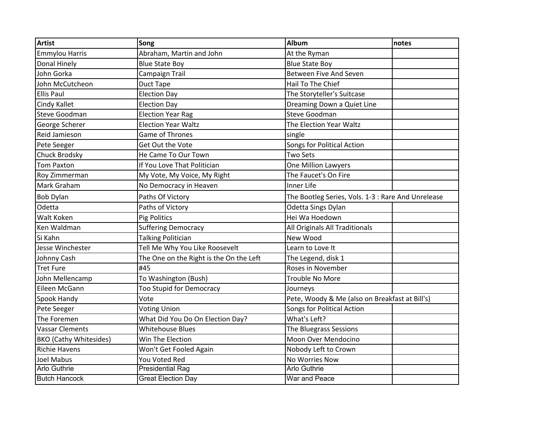| <b>Artist</b>                 | Song                                    | <b>Album</b>                                       | notes |
|-------------------------------|-----------------------------------------|----------------------------------------------------|-------|
| <b>Emmylou Harris</b>         | Abraham, Martin and John                | At the Ryman                                       |       |
| Donal Hinely                  | <b>Blue State Boy</b>                   | <b>Blue State Boy</b>                              |       |
| John Gorka                    | Campaign Trail                          | <b>Between Five And Seven</b>                      |       |
| John McCutcheon               | Duct Tape                               | Hail To The Chief                                  |       |
| <b>Ellis Paul</b>             | <b>Election Day</b>                     | The Storyteller's Suitcase                         |       |
| Cindy Kallet                  | <b>Election Day</b>                     | Dreaming Down a Quiet Line                         |       |
| <b>Steve Goodman</b>          | <b>Election Year Rag</b>                | <b>Steve Goodman</b>                               |       |
| George Scherer                | <b>Election Year Waltz</b>              | The Election Year Waltz                            |       |
| Reid Jamieson                 | Game of Thrones                         | single                                             |       |
| Pete Seeger                   | Get Out the Vote                        | Songs for Political Action                         |       |
| Chuck Brodsky                 | He Came To Our Town                     | <b>Two Sets</b>                                    |       |
| <b>Tom Paxton</b>             | If You Love That Politician             | One Million Lawyers                                |       |
| Roy Zimmerman                 | My Vote, My Voice, My Right             | The Faucet's On Fire                               |       |
| Mark Graham                   | No Democracy in Heaven                  | Inner Life                                         |       |
| <b>Bob Dylan</b>              | Paths Of Victory                        | The Bootleg Series, Vols. 1-3 : Rare And Unrelease |       |
| Odetta                        | Paths of Victory                        | Odetta Sings Dylan                                 |       |
| Walt Koken                    | <b>Pig Politics</b>                     | Hei Wa Hoedown                                     |       |
| Ken Waldman                   | <b>Suffering Democracy</b>              | All Originals All Traditionals                     |       |
| Si Kahn                       | <b>Talking Politician</b>               | New Wood                                           |       |
| Jesse Winchester              | Tell Me Why You Like Roosevelt          | Learn to Love It                                   |       |
| Johnny Cash                   | The One on the Right is the On the Left | The Legend, disk 1                                 |       |
| <b>Tret Fure</b>              | #45                                     | Roses in November                                  |       |
| John Mellencamp               | To Washington (Bush)                    | <b>Trouble No More</b>                             |       |
| Eileen McGann                 | <b>Too Stupid for Democracy</b>         | Journeys                                           |       |
| Spook Handy                   | Vote                                    | Pete, Woody & Me (also on Breakfast at Bill's)     |       |
| Pete Seeger                   | <b>Voting Union</b>                     | Songs for Political Action                         |       |
| The Foremen                   | What Did You Do On Election Day?        | What's Left?                                       |       |
| <b>Vassar Clements</b>        | <b>Whitehouse Blues</b>                 | The Bluegrass Sessions                             |       |
| <b>BKO</b> (Cathy Whitesides) | Win The Election                        | Moon Over Mendocino                                |       |
| <b>Richie Havens</b>          | Won't Get Fooled Again                  | Nobody Left to Crown                               |       |
| <b>Joel Mabus</b>             | You Voted Red                           | No Worries Now                                     |       |
| <b>Arlo Guthrie</b>           | <b>Presidential Rag</b>                 | <b>Arlo Guthrie</b>                                |       |
| <b>Butch Hancock</b>          | <b>Great Election Day</b>               | War and Peace                                      |       |